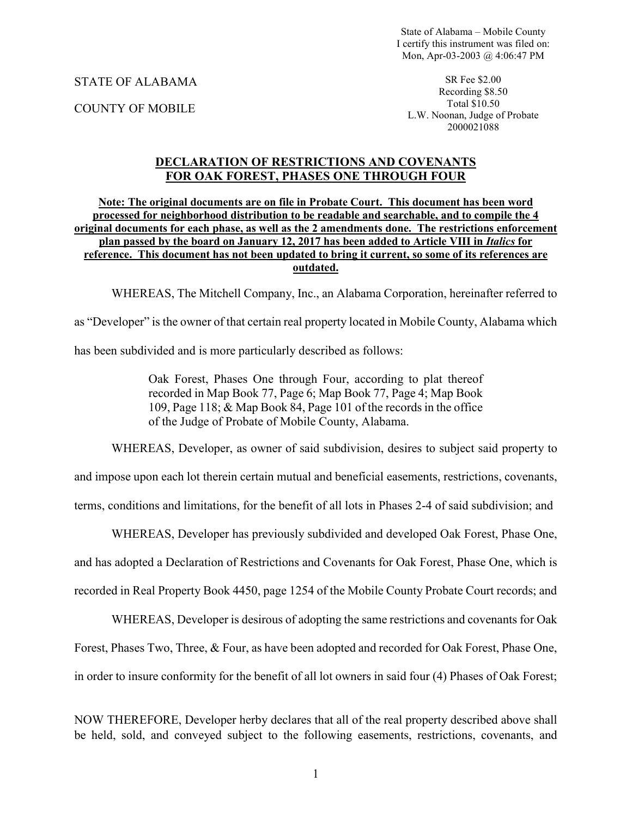State of Alabama – Mobile County I certify this instrument was filed on: Mon, Apr-03-2003 @ 4:06:47 PM

STATE OF ALABAMA\_

COUNTY OF MOBILE

SR Fee \$2.00 Recording \$8.50 Total \$10.50 L.W. Noonan, Judge of Probate 2000021088

### **DECLARATION OF RESTRICTIONS AND COVENANTS FOR OAK FOREST, PHASES ONE THROUGH FOUR**

#### **Note: The original documents are on file in Probate Court. This document has been word processed for neighborhood distribution to be readable and searchable, and to compile the 4 original documents for each phase, as well as the 2 amendments done. The restrictions enforcement plan passed by the board on January 12, 2017 has been added to Article VIII in** *Italics* **for reference. This document has not been updated to bring it current, so some of its references are outdated.**

WHEREAS, The Mitchell Company, Inc., an Alabama Corporation, hereinafter referred to

as "Developer" is the owner of that certain real property located in Mobile County, Alabama which

has been subdivided and is more particularly described as follows:

Oak Forest, Phases One through Four, according to plat thereof recorded in Map Book 77, Page 6; Map Book 77, Page 4; Map Book 109, Page 118; & Map Book 84, Page 101 of the records in the office of the Judge of Probate of Mobile County, Alabama.

WHEREAS, Developer, as owner of said subdivision, desires to subject said property to

and impose upon each lot therein certain mutual and beneficial easements, restrictions, covenants,

terms, conditions and limitations, for the benefit of all lots in Phases 2-4 of said subdivision; and

WHEREAS, Developer has previously subdivided and developed Oak Forest, Phase One,

and has adopted a Declaration of Restrictions and Covenants for Oak Forest, Phase One, which is

recorded in Real Property Book 4450, page 1254 of the Mobile County Probate Court records; and

WHEREAS, Developer is desirous of adopting the same restrictions and covenants for Oak Forest, Phases Two, Three, & Four, as have been adopted and recorded for Oak Forest, Phase One, in order to insure conformity for the benefit of all lot owners in said four (4) Phases of Oak Forest;

NOW THEREFORE, Developer herby declares that all of the real property described above shall be held, sold, and conveyed subject to the following easements, restrictions, covenants, and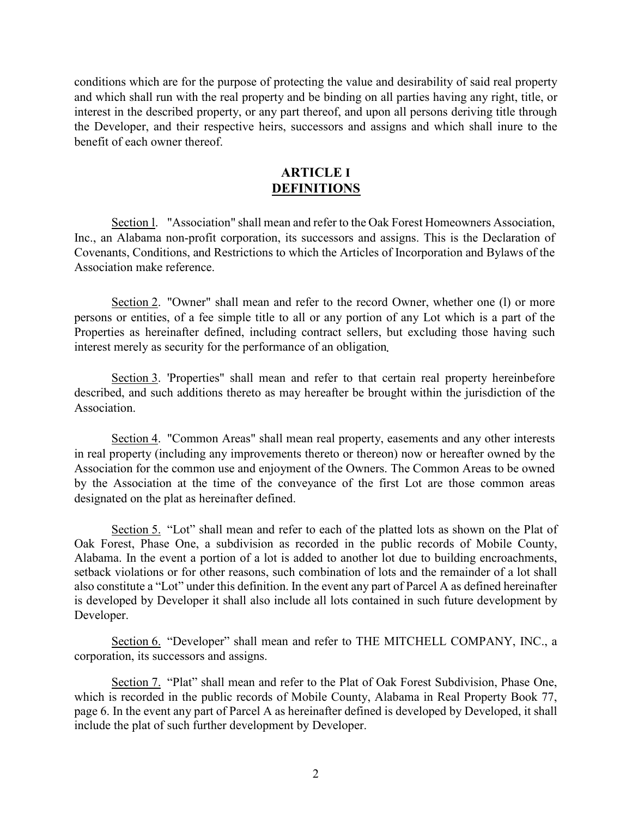conditions which are for the purpose of protecting the value and desirability of said real property and which shall run with the real property and be binding on all parties having any right, title, or interest in the described property, or any part thereof, and upon all persons deriving title through the Developer, and their respective heirs, successors and assigns and which shall inure to the benefit of each owner thereof.

# **ARTICLE I DEFINITIONS**

Section l. "Association" shall mean and refer to the Oak Forest Homeowners Association, Inc., an Alabama non-profit corporation, its successors and assigns. This is the Declaration of Covenants, Conditions, and Restrictions to which the Articles of Incorporation and Bylaws of the Association make reference.

Section 2. "Owner" shall mean and refer to the record Owner, whether one (l) or more persons or entities, of a fee simple title to all or any portion of any Lot which is a part of the Properties as hereinafter defined, including contract sellers, but excluding those having such interest merely as security for the performance of an obligation

Section 3. 'Properties" shall mean and refer to that certain real property hereinbefore described, and such additions thereto as may hereafter be brought within the jurisdiction of the Association.

Section 4. "Common Areas" shall mean real property, easements and any other interests in real property (including any improvements thereto or thereon) now or hereafter owned by the Association for the common use and enjoyment of the Owners. The Common Areas to be owned by the Association at the time of the conveyance of the first Lot are those common areas designated on the plat as hereinafter defined.

Section 5. "Lot" shall mean and refer to each of the platted lots as shown on the Plat of Oak Forest, Phase One, a subdivision as recorded in the public records of Mobile County, Alabama. In the event a portion of a lot is added to another lot due to building encroachments, setback violations or for other reasons, such combination of lots and the remainder of a lot shall also constitute a "Lot" under this definition. In the event any part of Parcel A as defined hereinafter is developed by Developer it shall also include all lots contained in such future development by Developer.

Section 6. "Developer" shall mean and refer to THE MITCHELL COMPANY, INC., a corporation, its successors and assigns.

Section 7. "Plat" shall mean and refer to the Plat of Oak Forest Subdivision, Phase One, which is recorded in the public records of Mobile County, Alabama in Real Property Book 77, page 6. In the event any part of Parcel A as hereinafter defined is developed by Developed, it shall include the plat of such further development by Developer.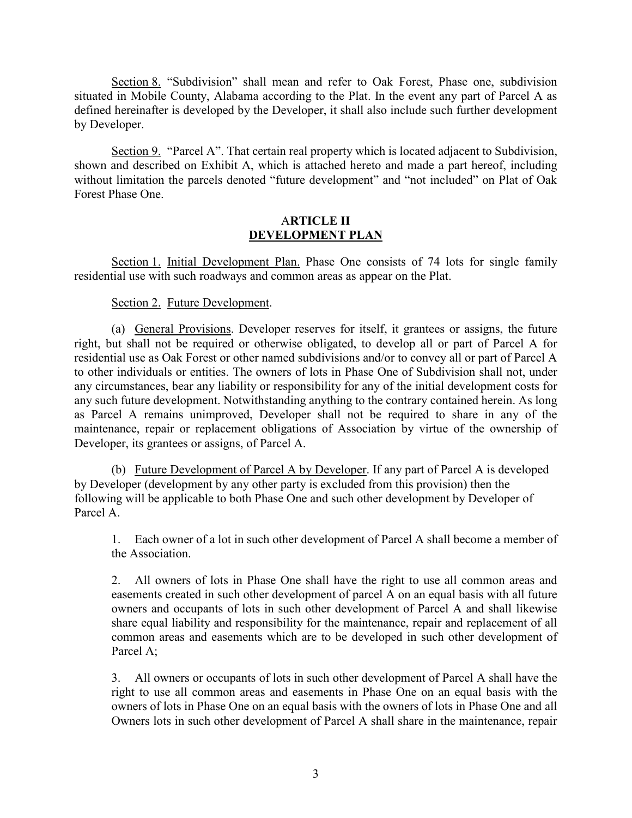Section 8. "Subdivision" shall mean and refer to Oak Forest, Phase one, subdivision situated in Mobile County, Alabama according to the Plat. In the event any part of Parcel A as defined hereinafter is developed by the Developer, it shall also include such further development by Developer.

Section 9. "Parcel A". That certain real property which is located adjacent to Subdivision, shown and described on Exhibit A, which is attached hereto and made a part hereof, including without limitation the parcels denoted "future development" and "not included" on Plat of Oak Forest Phase One.

#### A**RTICLE II DEVELOPMENT PLAN**

Section 1. Initial Development Plan. Phase One consists of 74 lots for single family residential use with such roadways and common areas as appear on the Plat.

# Section 2. Future Development.

(a) General Provisions. Developer reserves for itself, it grantees or assigns, the future right, but shall not be required or otherwise obligated, to develop all or part of Parcel A for residential use as Oak Forest or other named subdivisions and/or to convey all or part of Parcel A to other individuals or entities. The owners of lots in Phase One of Subdivision shall not, under any circumstances, bear any liability or responsibility for any of the initial development costs for any such future development. Notwithstanding anything to the contrary contained herein. As long as Parcel A remains unimproved, Developer shall not be required to share in any of the maintenance, repair or replacement obligations of Association by virtue of the ownership of Developer, its grantees or assigns, of Parcel A.

(b) Future Development of Parcel A by Developer. If any part of Parcel A is developed by Developer (development by any other party is excluded from this provision) then the following will be applicable to both Phase One and such other development by Developer of Parcel A.

1. Each owner of a lot in such other development of Parcel A shall become a member of the Association.

2. All owners of lots in Phase One shall have the right to use all common areas and easements created in such other development of parcel A on an equal basis with all future owners and occupants of lots in such other development of Parcel A and shall likewise share equal liability and responsibility for the maintenance, repair and replacement of all common areas and easements which are to be developed in such other development of Parcel A;

3. All owners or occupants of lots in such other development of Parcel A shall have the right to use all common areas and easements in Phase One on an equal basis with the owners of lots in Phase One on an equal basis with the owners of lots in Phase One and all Owners lots in such other development of Parcel A shall share in the maintenance, repair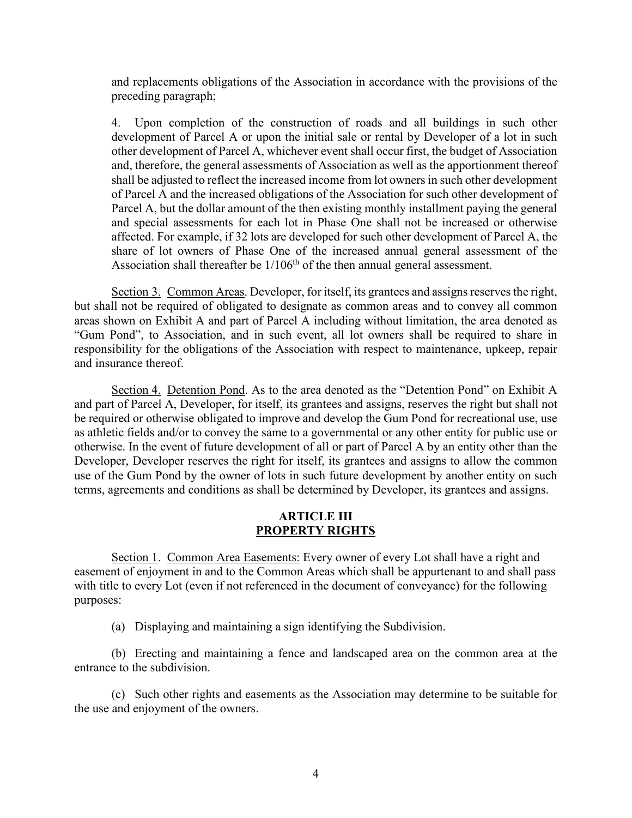and replacements obligations of the Association in accordance with the provisions of the preceding paragraph;

4. Upon completion of the construction of roads and all buildings in such other development of Parcel A or upon the initial sale or rental by Developer of a lot in such other development of Parcel A, whichever event shall occur first, the budget of Association and, therefore, the general assessments of Association as well as the apportionment thereof shall be adjusted to reflect the increased income from lot owners in such other development of Parcel A and the increased obligations of the Association for such other development of Parcel A, but the dollar amount of the then existing monthly installment paying the general and special assessments for each lot in Phase One shall not be increased or otherwise affected. For example, if 32 lots are developed for such other development of Parcel A, the share of lot owners of Phase One of the increased annual general assessment of the Association shall thereafter be  $1/106<sup>th</sup>$  of the then annual general assessment.

Section 3. Common Areas. Developer, for itself, its grantees and assigns reserves the right, but shall not be required of obligated to designate as common areas and to convey all common areas shown on Exhibit A and part of Parcel A including without limitation, the area denoted as "Gum Pond", to Association, and in such event, all lot owners shall be required to share in responsibility for the obligations of the Association with respect to maintenance, upkeep, repair and insurance thereof.

Section 4. Detention Pond. As to the area denoted as the "Detention Pond" on Exhibit A and part of Parcel A, Developer, for itself, its grantees and assigns, reserves the right but shall not be required or otherwise obligated to improve and develop the Gum Pond for recreational use, use as athletic fields and/or to convey the same to a governmental or any other entity for public use or otherwise. In the event of future development of all or part of Parcel A by an entity other than the Developer, Developer reserves the right for itself, its grantees and assigns to allow the common use of the Gum Pond by the owner of lots in such future development by another entity on such terms, agreements and conditions as shall be determined by Developer, its grantees and assigns.

### **ARTICLE III PROPERTY RIGHTS**

Section 1. Common Area Easements: Every owner of every Lot shall have a right and easement of enjoyment in and to the Common Areas which shall be appurtenant to and shall pass with title to every Lot (even if not referenced in the document of conveyance) for the following purposes:

(a) Displaying and maintaining a sign identifying the Subdivision.

(b) Erecting and maintaining a fence and landscaped area on the common area at the entrance to the subdivision.

(c) Such other rights and easements as the Association may determine to be suitable for the use and enjoyment of the owners.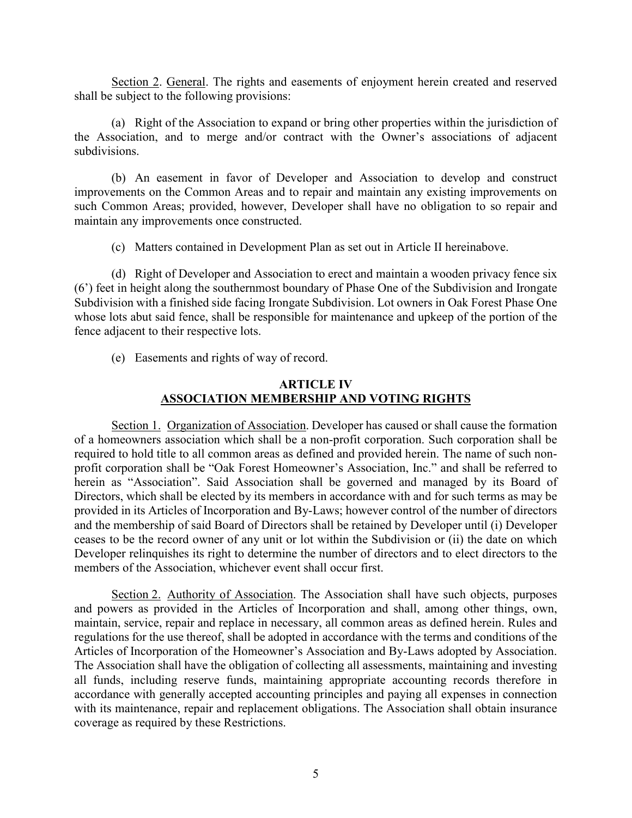Section 2. General. The rights and easements of enjoyment herein created and reserved shall be subject to the following provisions:

(a) Right of the Association to expand or bring other properties within the jurisdiction of the Association, and to merge and/or contract with the Owner's associations of adjacent subdivisions.

(b) An easement in favor of Developer and Association to develop and construct improvements on the Common Areas and to repair and maintain any existing improvements on such Common Areas; provided, however, Developer shall have no obligation to so repair and maintain any improvements once constructed.

(c) Matters contained in Development Plan as set out in Article II hereinabove.

(d) Right of Developer and Association to erect and maintain a wooden privacy fence six (6') feet in height along the southernmost boundary of Phase One of the Subdivision and Irongate Subdivision with a finished side facing Irongate Subdivision. Lot owners in Oak Forest Phase One whose lots abut said fence, shall be responsible for maintenance and upkeep of the portion of the fence adjacent to their respective lots.

(e) Easements and rights of way of record.

### **ARTICLE IV ASSOCIATION MEMBERSHIP AND VOTING RIGHTS**

Section 1. Organization of Association. Developer has caused or shall cause the formation of a homeowners association which shall be a non-profit corporation. Such corporation shall be required to hold title to all common areas as defined and provided herein. The name of such nonprofit corporation shall be "Oak Forest Homeowner's Association, Inc." and shall be referred to herein as "Association". Said Association shall be governed and managed by its Board of Directors, which shall be elected by its members in accordance with and for such terms as may be provided in its Articles of Incorporation and By-Laws; however control of the number of directors and the membership of said Board of Directors shall be retained by Developer until (i) Developer ceases to be the record owner of any unit or lot within the Subdivision or (ii) the date on which Developer relinquishes its right to determine the number of directors and to elect directors to the members of the Association, whichever event shall occur first.

Section 2. Authority of Association. The Association shall have such objects, purposes and powers as provided in the Articles of Incorporation and shall, among other things, own, maintain, service, repair and replace in necessary, all common areas as defined herein. Rules and regulations for the use thereof, shall be adopted in accordance with the terms and conditions of the Articles of Incorporation of the Homeowner's Association and By-Laws adopted by Association. The Association shall have the obligation of collecting all assessments, maintaining and investing all funds, including reserve funds, maintaining appropriate accounting records therefore in accordance with generally accepted accounting principles and paying all expenses in connection with its maintenance, repair and replacement obligations. The Association shall obtain insurance coverage as required by these Restrictions.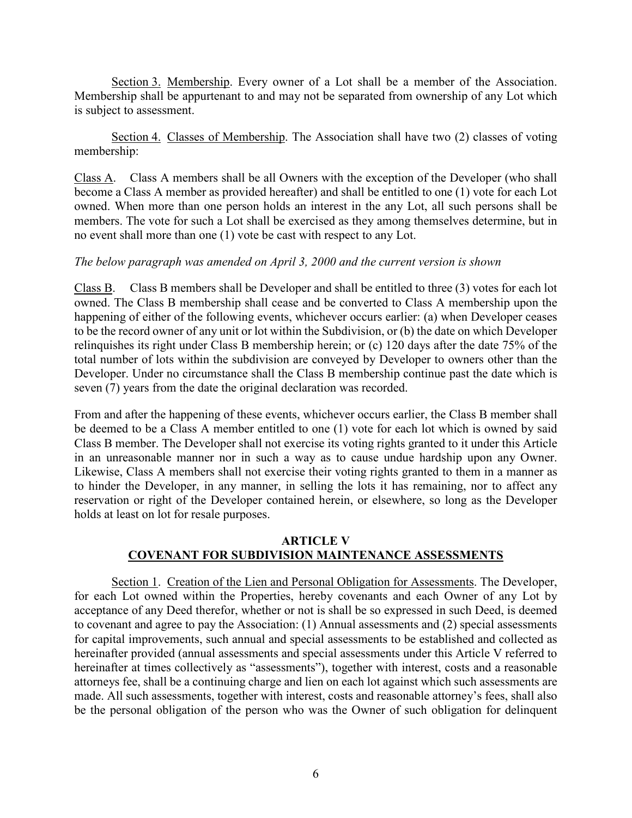Section 3. Membership. Every owner of a Lot shall be a member of the Association. Membership shall be appurtenant to and may not be separated from ownership of any Lot which is subject to assessment.

Section 4. Classes of Membership. The Association shall have two (2) classes of voting membership:

Class A. Class A members shall be all Owners with the exception of the Developer (who shall become a Class A member as provided hereafter) and shall be entitled to one (1) vote for each Lot owned. When more than one person holds an interest in the any Lot, all such persons shall be members. The vote for such a Lot shall be exercised as they among themselves determine, but in no event shall more than one (1) vote be cast with respect to any Lot.

# *The below paragraph was amended on April 3, 2000 and the current version is shown*

Class B. Class B members shall be Developer and shall be entitled to three (3) votes for each lot owned. The Class B membership shall cease and be converted to Class A membership upon the happening of either of the following events, whichever occurs earlier: (a) when Developer ceases to be the record owner of any unit or lot within the Subdivision, or (b) the date on which Developer relinquishes its right under Class B membership herein; or (c) 120 days after the date 75% of the total number of lots within the subdivision are conveyed by Developer to owners other than the Developer. Under no circumstance shall the Class B membership continue past the date which is seven (7) years from the date the original declaration was recorded.

From and after the happening of these events, whichever occurs earlier, the Class B member shall be deemed to be a Class A member entitled to one (1) vote for each lot which is owned by said Class B member. The Developer shall not exercise its voting rights granted to it under this Article in an unreasonable manner nor in such a way as to cause undue hardship upon any Owner. Likewise, Class A members shall not exercise their voting rights granted to them in a manner as to hinder the Developer, in any manner, in selling the lots it has remaining, nor to affect any reservation or right of the Developer contained herein, or elsewhere, so long as the Developer holds at least on lot for resale purposes.

# **ARTICLE V COVENANT FOR SUBDIVISION MAINTENANCE ASSESSMENTS**

Section 1. Creation of the Lien and Personal Obligation for Assessments. The Developer, for each Lot owned within the Properties, hereby covenants and each Owner of any Lot by acceptance of any Deed therefor, whether or not is shall be so expressed in such Deed, is deemed to covenant and agree to pay the Association: (1) Annual assessments and (2) special assessments for capital improvements, such annual and special assessments to be established and collected as hereinafter provided (annual assessments and special assessments under this Article V referred to hereinafter at times collectively as "assessments"), together with interest, costs and a reasonable attorneys fee, shall be a continuing charge and lien on each lot against which such assessments are made. All such assessments, together with interest, costs and reasonable attorney's fees, shall also be the personal obligation of the person who was the Owner of such obligation for delinquent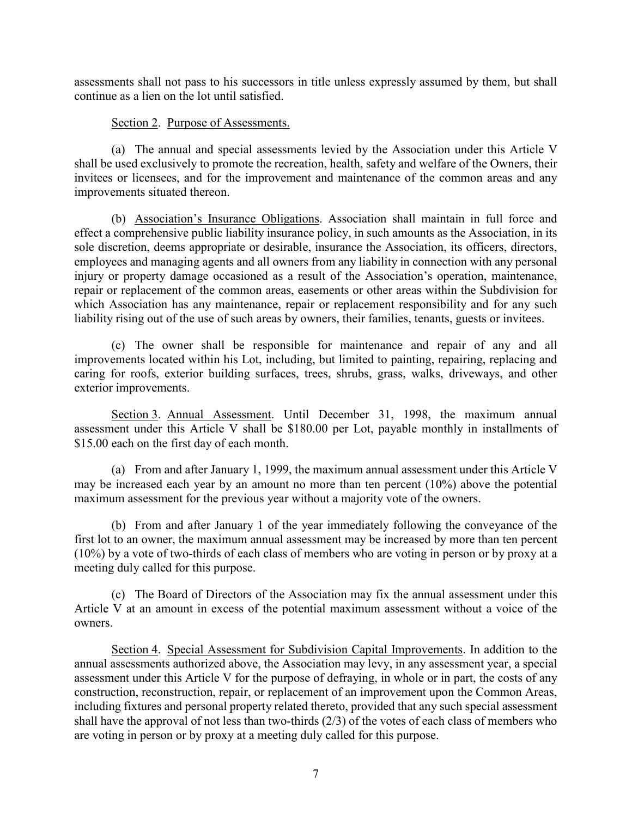assessments shall not pass to his successors in title unless expressly assumed by them, but shall continue as a lien on the lot until satisfied.

### Section 2. Purpose of Assessments.

(a) The annual and special assessments levied by the Association under this Article V shall be used exclusively to promote the recreation, health, safety and welfare of the Owners, their invitees or licensees, and for the improvement and maintenance of the common areas and any improvements situated thereon.

(b) Association's Insurance Obligations. Association shall maintain in full force and effect a comprehensive public liability insurance policy, in such amounts as the Association, in its sole discretion, deems appropriate or desirable, insurance the Association, its officers, directors, employees and managing agents and all owners from any liability in connection with any personal injury or property damage occasioned as a result of the Association's operation, maintenance, repair or replacement of the common areas, easements or other areas within the Subdivision for which Association has any maintenance, repair or replacement responsibility and for any such liability rising out of the use of such areas by owners, their families, tenants, guests or invitees.

(c) The owner shall be responsible for maintenance and repair of any and all improvements located within his Lot, including, but limited to painting, repairing, replacing and caring for roofs, exterior building surfaces, trees, shrubs, grass, walks, driveways, and other exterior improvements.

Section 3. Annual Assessment. Until December 31, 1998, the maximum annual assessment under this Article V shall be \$180.00 per Lot, payable monthly in installments of \$15.00 each on the first day of each month.

(a) From and after January 1, 1999, the maximum annual assessment under this Article V may be increased each year by an amount no more than ten percent (10%) above the potential maximum assessment for the previous year without a majority vote of the owners.

(b) From and after January 1 of the year immediately following the conveyance of the first lot to an owner, the maximum annual assessment may be increased by more than ten percent (10%) by a vote of two-thirds of each class of members who are voting in person or by proxy at a meeting duly called for this purpose.

(c) The Board of Directors of the Association may fix the annual assessment under this Article V at an amount in excess of the potential maximum assessment without a voice of the owners.

Section 4. Special Assessment for Subdivision Capital Improvements. In addition to the annual assessments authorized above, the Association may levy, in any assessment year, a special assessment under this Article V for the purpose of defraying, in whole or in part, the costs of any construction, reconstruction, repair, or replacement of an improvement upon the Common Areas, including fixtures and personal property related thereto, provided that any such special assessment shall have the approval of not less than two-thirds (2/3) of the votes of each class of members who are voting in person or by proxy at a meeting duly called for this purpose.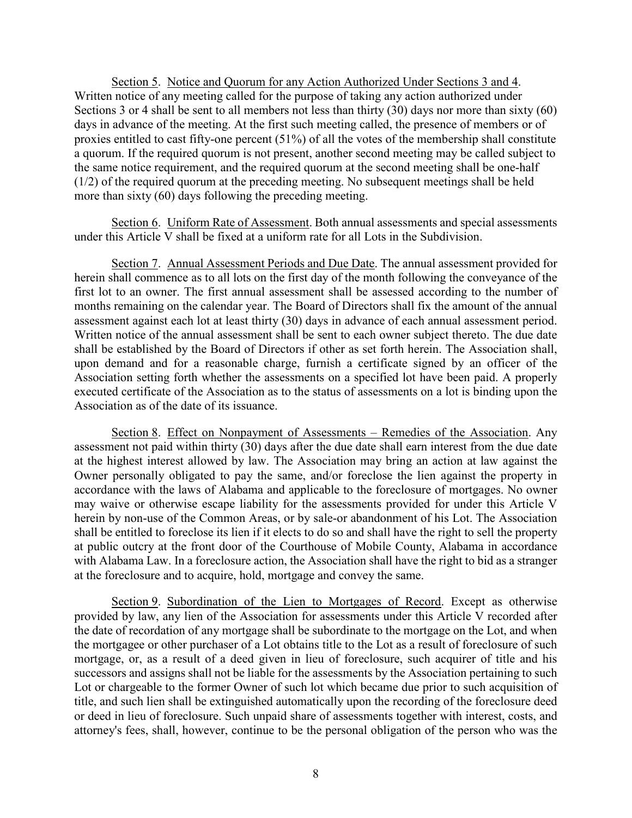Section 5. Notice and Quorum for any Action Authorized Under Sections 3 and 4. Written notice of any meeting called for the purpose of taking any action authorized under Sections 3 or 4 shall be sent to all members not less than thirty (30) days nor more than sixty (60) days in advance of the meeting. At the first such meeting called, the presence of members or of proxies entitled to cast fifty-one percent (51%) of all the votes of the membership shall constitute a quorum. If the required quorum is not present, another second meeting may be called subject to the same notice requirement, and the required quorum at the second meeting shall be one-half (1/2) of the required quorum at the preceding meeting. No subsequent meetings shall be held more than sixty (60) days following the preceding meeting.

Section 6. Uniform Rate of Assessment. Both annual assessments and special assessments under this Article V shall be fixed at a uniform rate for all Lots in the Subdivision.

Section 7. Annual Assessment Periods and Due Date. The annual assessment provided for herein shall commence as to all lots on the first day of the month following the conveyance of the first lot to an owner. The first annual assessment shall be assessed according to the number of months remaining on the calendar year. The Board of Directors shall fix the amount of the annual assessment against each lot at least thirty (30) days in advance of each annual assessment period. Written notice of the annual assessment shall be sent to each owner subject thereto. The due date shall be established by the Board of Directors if other as set forth herein. The Association shall, upon demand and for a reasonable charge, furnish a certificate signed by an officer of the Association setting forth whether the assessments on a specified lot have been paid. A properly executed certificate of the Association as to the status of assessments on a lot is binding upon the Association as of the date of its issuance.

Section 8. Effect on Nonpayment of Assessments – Remedies of the Association. Any assessment not paid within thirty (30) days after the due date shall earn interest from the due date at the highest interest allowed by law. The Association may bring an action at law against the Owner personally obligated to pay the same, and/or foreclose the lien against the property in accordance with the laws of Alabama and applicable to the foreclosure of mortgages. No owner may waive or otherwise escape liability for the assessments provided for under this Article V herein by non-use of the Common Areas, or by sale-or abandonment of his Lot. The Association shall be entitled to foreclose its lien if it elects to do so and shall have the right to sell the property at public outcry at the front door of the Courthouse of Mobile County, Alabama in accordance with Alabama Law. In a foreclosure action, the Association shall have the right to bid as a stranger at the foreclosure and to acquire, hold, mortgage and convey the same.

Section 9. Subordination of the Lien to Mortgages of Record. Except as otherwise provided by law, any lien of the Association for assessments under this Article V recorded after the date of recordation of any mortgage shall be subordinate to the mortgage on the Lot, and when the mortgagee or other purchaser of a Lot obtains title to the Lot as a result of foreclosure of such mortgage, or, as a result of a deed given in lieu of foreclosure, such acquirer of title and his successors and assigns shall not be liable for the assessments by the Association pertaining to such Lot or chargeable to the former Owner of such lot which became due prior to such acquisition of title, and such lien shall be extinguished automatically upon the recording of the foreclosure deed or deed in lieu of foreclosure. Such unpaid share of assessments together with interest, costs, and attorney's fees, shall, however, continue to be the personal obligation of the person who was the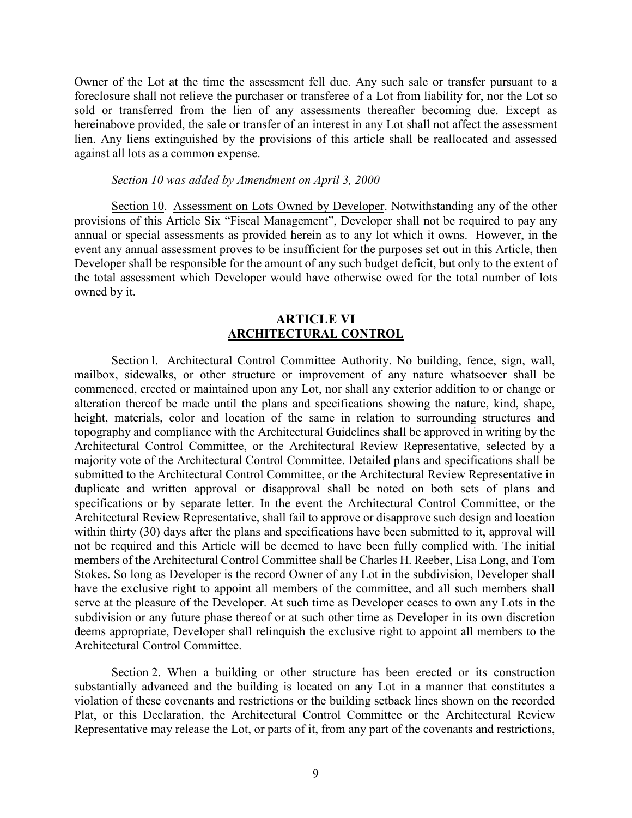Owner of the Lot at the time the assessment fell due. Any such sale or transfer pursuant to a foreclosure shall not relieve the purchaser or transferee of a Lot from liability for, nor the Lot so sold or transferred from the lien of any assessments thereafter becoming due. Except as hereinabove provided, the sale or transfer of an interest in any Lot shall not affect the assessment lien. Any liens extinguished by the provisions of this article shall be reallocated and assessed against all lots as a common expense.

#### *Section 10 was added by Amendment on April 3, 2000*

Section 10. Assessment on Lots Owned by Developer. Notwithstanding any of the other provisions of this Article Six "Fiscal Management", Developer shall not be required to pay any annual or special assessments as provided herein as to any lot which it owns. However, in the event any annual assessment proves to be insufficient for the purposes set out in this Article, then Developer shall be responsible for the amount of any such budget deficit, but only to the extent of the total assessment which Developer would have otherwise owed for the total number of lots owned by it.

#### **ARTICLE VI ARCHITECTURAL CONTROL**

Section 1. Architectural Control Committee Authority. No building, fence, sign, wall, mailbox, sidewalks, or other structure or improvement of any nature whatsoever shall be commenced, erected or maintained upon any Lot, nor shall any exterior addition to or change or alteration thereof be made until the plans and specifications showing the nature, kind, shape, height, materials, color and location of the same in relation to surrounding structures and topography and compliance with the Architectural Guidelines shall be approved in writing by the Architectural Control Committee, or the Architectural Review Representative, selected by a majority vote of the Architectural Control Committee. Detailed plans and specifications shall be submitted to the Architectural Control Committee, or the Architectural Review Representative in duplicate and written approval or disapproval shall be noted on both sets of plans and specifications or by separate letter. In the event the Architectural Control Committee, or the Architectural Review Representative, shall fail to approve or disapprove such design and location within thirty (30) days after the plans and specifications have been submitted to it, approval will not be required and this Article will be deemed to have been fully complied with. The initial members of the Architectural Control Committee shall be Charles H. Reeber, Lisa Long, and Tom Stokes. So long as Developer is the record Owner of any Lot in the subdivision, Developer shall have the exclusive right to appoint all members of the committee, and all such members shall serve at the pleasure of the Developer. At such time as Developer ceases to own any Lots in the subdivision or any future phase thereof or at such other time as Developer in its own discretion deems appropriate, Developer shall relinquish the exclusive right to appoint all members to the Architectural Control Committee.

Section 2. When a building or other structure has been erected or its construction substantially advanced and the building is located on any Lot in a manner that constitutes a violation of these covenants and restrictions or the building setback lines shown on the recorded Plat, or this Declaration, the Architectural Control Committee or the Architectural Review Representative may release the Lot, or parts of it, from any part of the covenants and restrictions,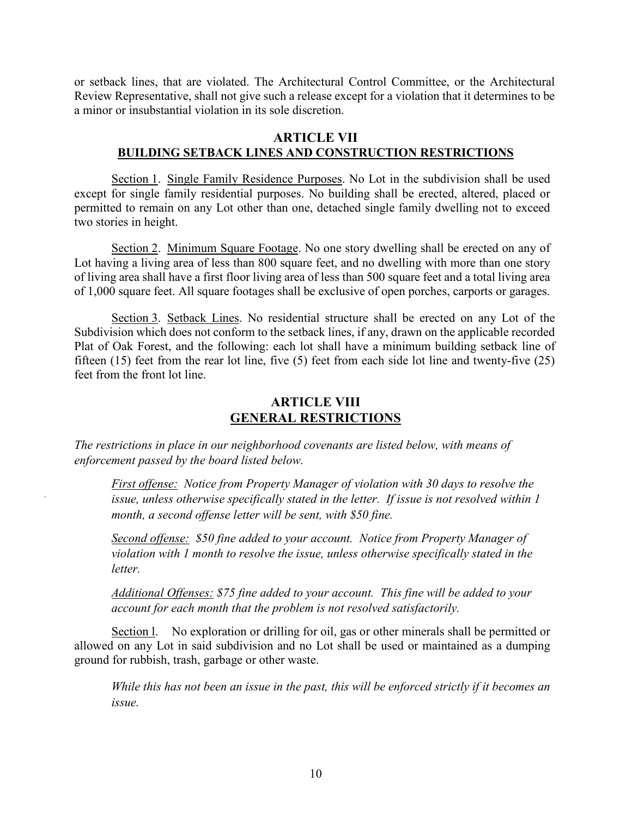or setback lines, that are violated. The Architectural Control Committee, or the Architectural Review Representative, shall not give such a release except for a violation that it determines to be a minor or insubstantial violation in its sole discretion.

# **ARTICLE VII BUILDING SETBACK LINES AND CONSTRUCTION RESTRICTIONS**

Section 1. Single Family Residence Purposes. No Lot in the subdivision shall be used except for single family residential purposes. No building shall be erected, altered, placed or permitted to remain on any Lot other than one, detached single family dwelling not to exceed two stories in height.

Section 2. Minimum Square Footage. No one story dwelling shall be erected on any of Lot having a living area of less than 800 square feet, and no dwelling with more than one story of living area shall have a first floor living area of less than 500 square feet and a total living area of 1,000 square feet. All square footages shall be exclusive of open porches, carports or garages.

Section 3. Setback Lines. No residential structure shall be erected on any Lot of the Subdivision which does not conform to the setback lines, if any, drawn on the applicable recorded Plat of Oak Forest, and the following: each lot shall have a minimum building setback line of fifteen (15) feet from the rear lot line, five (5) feet from each side lot line and twenty-five (25) feet from the front lot line.

# **ARTICLE VIII GENERAL RESTRICTIONS**

*The restrictions in place in our neighborhood covenants are listed below, with means of enforcement passed by the board listed below.* 

*First offense: Notice from Property Manager of violation with 30 days to resolve the issue, unless otherwise specifically stated in the letter. If issue is not resolved within 1 month, a second offense letter will be sent, with \$50 fine.* 

*Second offense: \$50 fine added to your account. Notice from Property Manager of violation with 1 month to resolve the issue, unless otherwise specifically stated in the letter.* 

*Additional Offenses: \$75 fine added to your account. This fine will be added to your account for each month that the problem is not resolved satisfactorily.* 

Section l. No exploration or drilling for oil, gas or other minerals shall be permitted or allowed on any Lot in said subdivision and no Lot shall be used or maintained as a dumping ground for rubbish, trash, garbage or other waste.

*While this has not been an issue in the past, this will be enforced strictly if it becomes an issue.*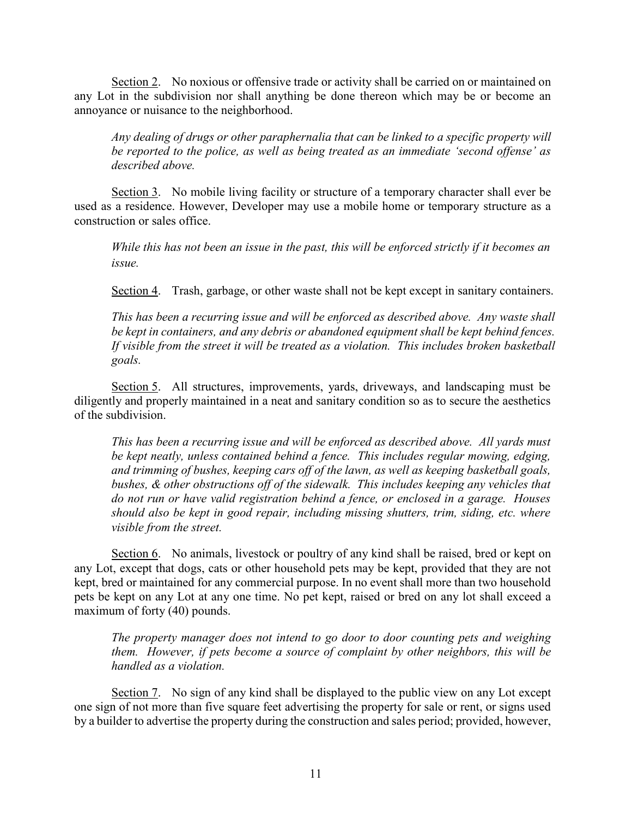Section 2. No noxious or offensive trade or activity shall be carried on or maintained on any Lot in the subdivision nor shall anything be done thereon which may be or become an annoyance or nuisance to the neighborhood.

*Any dealing of drugs or other paraphernalia that can be linked to a specific property will be reported to the police, as well as being treated as an immediate 'second offense' as described above.*

Section 3. No mobile living facility or structure of a temporary character shall ever be used as a residence. However, Developer may use a mobile home or temporary structure as a construction or sales office.

*While this has not been an issue in the past, this will be enforced strictly if it becomes an issue.*

Section 4. Trash, garbage, or other waste shall not be kept except in sanitary containers.

*This has been a recurring issue and will be enforced as described above. Any waste shall be kept in containers, and any debris or abandoned equipment shall be kept behind fences. If visible from the street it will be treated as a violation. This includes broken basketball goals.*

Section 5. All structures, improvements, yards, driveways, and landscaping must be diligently and properly maintained in a neat and sanitary condition so as to secure the aesthetics of the subdivision.

*This has been a recurring issue and will be enforced as described above. All yards must be kept neatly, unless contained behind a fence. This includes regular mowing, edging, and trimming of bushes, keeping cars off of the lawn, as well as keeping basketball goals, bushes, & other obstructions off of the sidewalk. This includes keeping any vehicles that do not run or have valid registration behind a fence, or enclosed in a garage. Houses should also be kept in good repair, including missing shutters, trim, siding, etc. where visible from the street.*

Section 6. No animals, livestock or poultry of any kind shall be raised, bred or kept on any Lot, except that dogs, cats or other household pets may be kept, provided that they are not kept, bred or maintained for any commercial purpose. In no event shall more than two household pets be kept on any Lot at any one time. No pet kept, raised or bred on any lot shall exceed a maximum of forty (40) pounds.

*The property manager does not intend to go door to door counting pets and weighing them. However, if pets become a source of complaint by other neighbors, this will be handled as a violation.*

Section 7. No sign of any kind shall be displayed to the public view on any Lot except one sign of not more than five square feet advertising the property for sale or rent, or signs used by a builder to advertise the property during the construction and sales period; provided, however,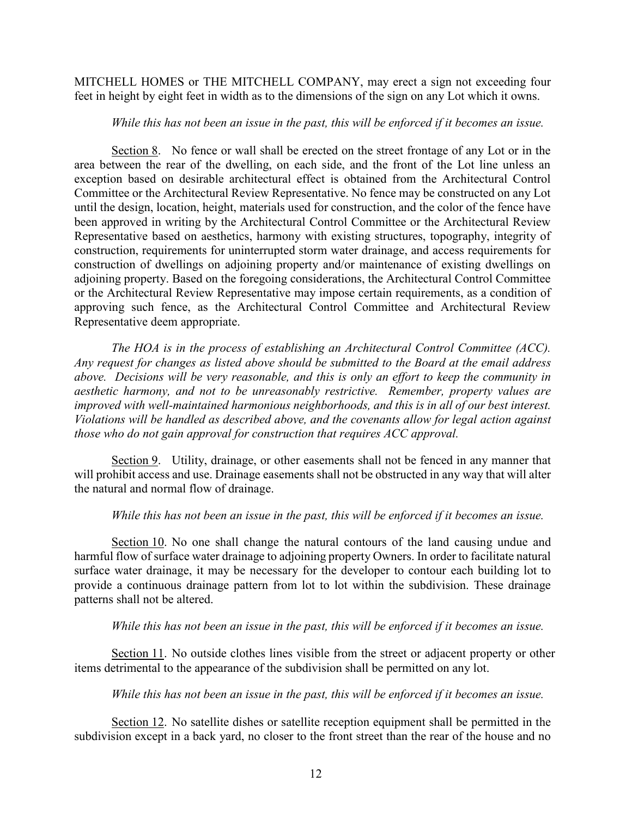MITCHELL HOMES or THE MITCHELL COMPANY, may erect a sign not exceeding four feet in height by eight feet in width as to the dimensions of the sign on any Lot which it owns.

#### *While this has not been an issue in the past, this will be enforced if it becomes an issue.*

Section 8. No fence or wall shall be erected on the street frontage of any Lot or in the area between the rear of the dwelling, on each side, and the front of the Lot line unless an exception based on desirable architectural effect is obtained from the Architectural Control Committee or the Architectural Review Representative. No fence may be constructed on any Lot until the design, location, height, materials used for construction, and the color of the fence have been approved in writing by the Architectural Control Committee or the Architectural Review Representative based on aesthetics, harmony with existing structures, topography, integrity of construction, requirements for uninterrupted storm water drainage, and access requirements for construction of dwellings on adjoining property and/or maintenance of existing dwellings on adjoining property. Based on the foregoing considerations, the Architectural Control Committee or the Architectural Review Representative may impose certain requirements, as a condition of approving such fence, as the Architectural Control Committee and Architectural Review Representative deem appropriate.

*The HOA is in the process of establishing an Architectural Control Committee (ACC). Any request for changes as listed above should be submitted to the Board at the email address above. Decisions will be very reasonable, and this is only an effort to keep the community in aesthetic harmony, and not to be unreasonably restrictive. Remember, property values are improved with well-maintained harmonious neighborhoods, and this is in all of our best interest. Violations will be handled as described above, and the covenants allow for legal action against those who do not gain approval for construction that requires ACC approval.* 

Section 9. Utility, drainage, or other easements shall not be fenced in any manner that will prohibit access and use. Drainage easements shall not be obstructed in any way that will alter the natural and normal flow of drainage.

#### *While this has not been an issue in the past, this will be enforced if it becomes an issue.*

Section 10. No one shall change the natural contours of the land causing undue and harmful flow of surface water drainage to adjoining property Owners. In order to facilitate natural surface water drainage, it may be necessary for the developer to contour each building lot to provide a continuous drainage pattern from lot to lot within the subdivision. These drainage patterns shall not be altered.

*While this has not been an issue in the past, this will be enforced if it becomes an issue.*

Section 11. No outside clothes lines visible from the street or adjacent property or other items detrimental to the appearance of the subdivision shall be permitted on any lot.

*While this has not been an issue in the past, this will be enforced if it becomes an issue.*

Section 12. No satellite dishes or satellite reception equipment shall be permitted in the subdivision except in a back yard, no closer to the front street than the rear of the house and no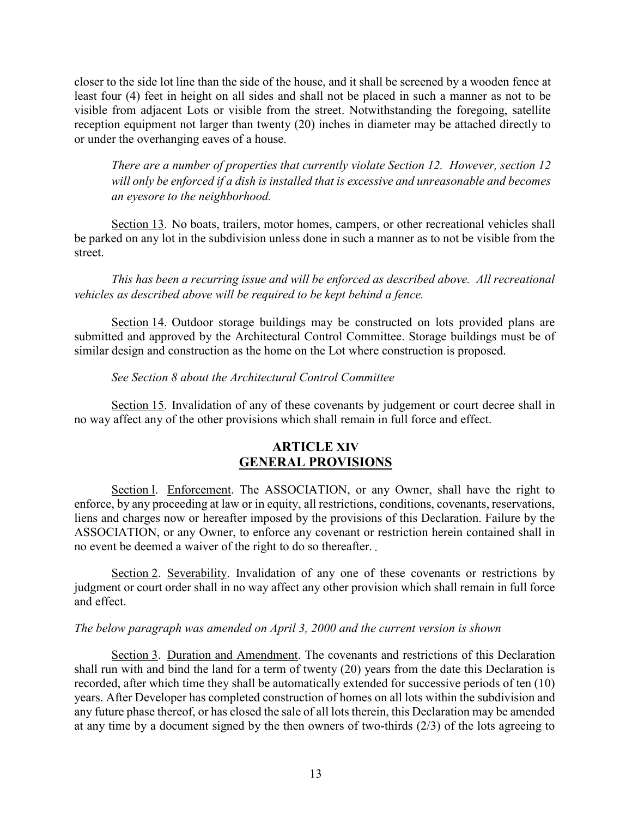closer to the side lot line than the side of the house, and it shall be screened by a wooden fence at least four (4) feet in height on all sides and shall not be placed in such a manner as not to be visible from adjacent Lots or visible from the street. Notwithstanding the foregoing, satellite reception equipment not larger than twenty (20) inches in diameter may be attached directly to or under the overhanging eaves of a house.

*There are a number of properties that currently violate Section 12. However, section 12 will only be enforced if a dish is installed that is excessive and unreasonable and becomes an eyesore to the neighborhood.*

Section 13. No boats, trailers, motor homes, campers, or other recreational vehicles shall be parked on any lot in the subdivision unless done in such a manner as to not be visible from the street.

*This has been a recurring issue and will be enforced as described above. All recreational vehicles as described above will be required to be kept behind a fence.*

Section 14. Outdoor storage buildings may be constructed on lots provided plans are submitted and approved by the Architectural Control Committee. Storage buildings must be of similar design and construction as the home on the Lot where construction is proposed.

### *See Section 8 about the Architectural Control Committee*

Section 15. Invalidation of any of these covenants by judgement or court decree shall in no way affect any of the other provisions which shall remain in full force and effect.

# **ARTICLE XIV GENERAL PROVISIONS**

Section l. Enforcement. The ASSOCIATION, or any Owner, shall have the right to enforce, by any proceeding at law or in equity, all restrictions, conditions, covenants, reservations, liens and charges now or hereafter imposed by the provisions of this Declaration. Failure by the ASSOCIATION, or any Owner, to enforce any covenant or restriction herein contained shall in no event be deemed a waiver of the right to do so thereafter.

Section 2. Severability. Invalidation of any one of these covenants or restrictions by judgment or court order shall in no way affect any other provision which shall remain in full force and effect.

#### *The below paragraph was amended on April 3, 2000 and the current version is shown*

Section 3. Duration and Amendment. The covenants and restrictions of this Declaration shall run with and bind the land for a term of twenty (20) years from the date this Declaration is recorded, after which time they shall be automatically extended for successive periods of ten (10) years. After Developer has completed construction of homes on all lots within the subdivision and any future phase thereof, or has closed the sale of all lots therein, this Declaration may be amended at any time by a document signed by the then owners of two-thirds (2/3) of the lots agreeing to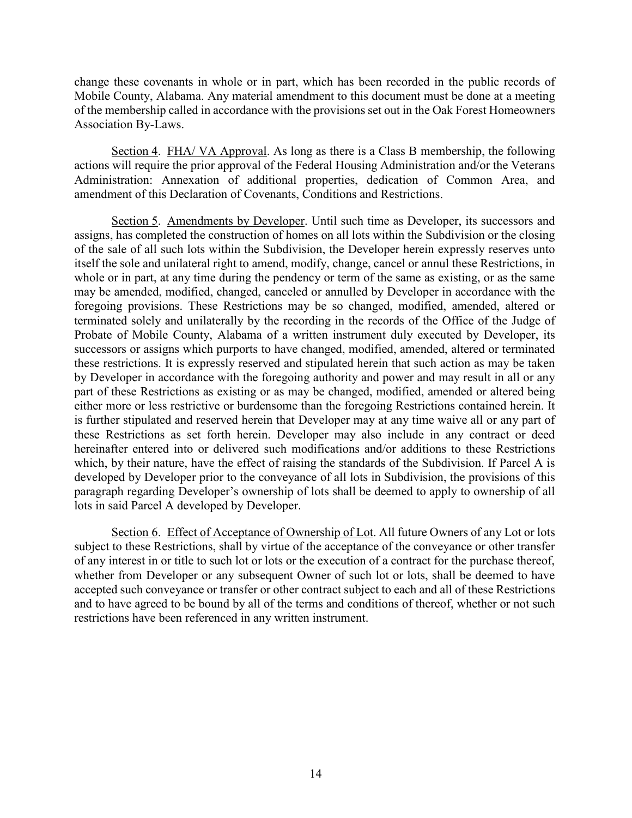change these covenants in whole or in part, which has been recorded in the public records of Mobile County, Alabama. Any material amendment to this document must be done at a meeting of the membership called in accordance with the provisions set out in the Oak Forest Homeowners Association By-Laws.

Section 4. FHA/ VA Approval. As long as there is a Class B membership, the following actions will require the prior approval of the Federal Housing Administration and/or the Veterans Administration: Annexation of additional properties, dedication of Common Area, and amendment of this Declaration of Covenants, Conditions and Restrictions.

Section 5. Amendments by Developer. Until such time as Developer, its successors and assigns, has completed the construction of homes on all lots within the Subdivision or the closing of the sale of all such lots within the Subdivision, the Developer herein expressly reserves unto itself the sole and unilateral right to amend, modify, change, cancel or annul these Restrictions, in whole or in part, at any time during the pendency or term of the same as existing, or as the same may be amended, modified, changed, canceled or annulled by Developer in accordance with the foregoing provisions. These Restrictions may be so changed, modified, amended, altered or terminated solely and unilaterally by the recording in the records of the Office of the Judge of Probate of Mobile County, Alabama of a written instrument duly executed by Developer, its successors or assigns which purports to have changed, modified, amended, altered or terminated these restrictions. It is expressly reserved and stipulated herein that such action as may be taken by Developer in accordance with the foregoing authority and power and may result in all or any part of these Restrictions as existing or as may be changed, modified, amended or altered being either more or less restrictive or burdensome than the foregoing Restrictions contained herein. It is further stipulated and reserved herein that Developer may at any time waive all or any part of these Restrictions as set forth herein. Developer may also include in any contract or deed hereinafter entered into or delivered such modifications and/or additions to these Restrictions which, by their nature, have the effect of raising the standards of the Subdivision. If Parcel A is developed by Developer prior to the conveyance of all lots in Subdivision, the provisions of this paragraph regarding Developer's ownership of lots shall be deemed to apply to ownership of all lots in said Parcel A developed by Developer.

Section 6. Effect of Acceptance of Ownership of Lot. All future Owners of any Lot or lots subject to these Restrictions, shall by virtue of the acceptance of the conveyance or other transfer of any interest in or title to such lot or lots or the execution of a contract for the purchase thereof, whether from Developer or any subsequent Owner of such lot or lots, shall be deemed to have accepted such conveyance or transfer or other contract subject to each and all of these Restrictions and to have agreed to be bound by all of the terms and conditions of thereof, whether or not such restrictions have been referenced in any written instrument.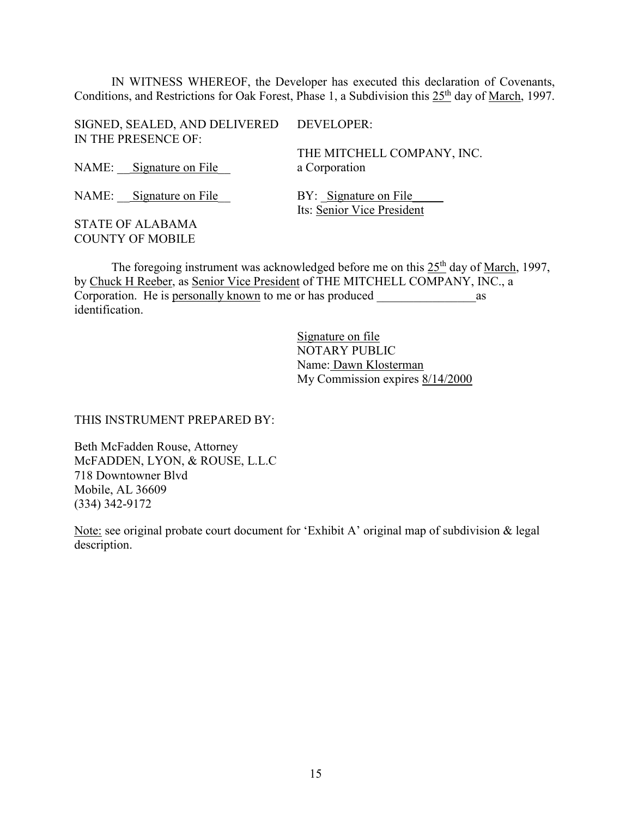IN WITNESS WHEREOF, the Developer has executed this declaration of Covenants, Conditions, and Restrictions for Oak Forest, Phase 1, a Subdivision this 25<sup>th</sup> day of March, 1997.

| SIGNED, SEALED, AND DELIVERED DEVELOPER:<br>IN THE PRESENCE OF: |                                                     |
|-----------------------------------------------------------------|-----------------------------------------------------|
|                                                                 | THE MITCHELL COMPANY, INC.                          |
| NAME: Signature on File                                         | a Corporation                                       |
| NAME: Signature on File                                         | BY: Signature on File<br>Its: Senior Vice President |
| <b>STATE OF ALABAMA</b>                                         |                                                     |

The foregoing instrument was acknowledged before me on this  $25<sup>th</sup>$  day of March, 1997, by Chuck H Reeber, as Senior Vice President of THE MITCHELL COMPANY, INC., a Corporation. He is personally known to me or has produced \_\_\_\_\_\_\_\_\_\_\_\_\_\_\_\_as identification.

> Signature on file NOTARY PUBLIC Name: Dawn Klosterman My Commission expires 8/14/2000

THIS INSTRUMENT PREPARED BY:

COUNTY OF MOBILE

Beth McFadden Rouse, Attorney McFADDEN, LYON, & ROUSE, L.L.C 718 Downtowner Blvd Mobile, AL 36609 (334) 342-9172

Note: see original probate court document for 'Exhibit A' original map of subdivision & legal description.